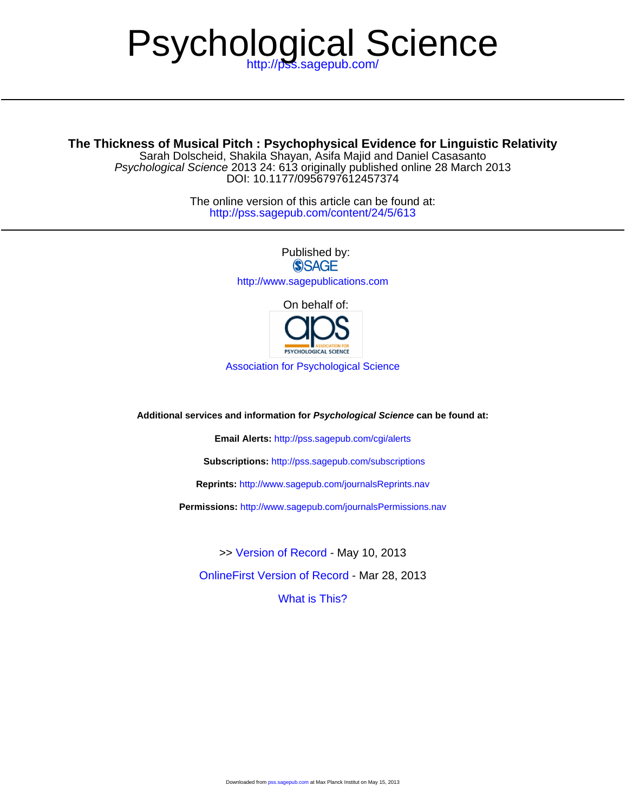# Psychological Science

# **The Thickness of Musical Pitch : Psychophysical Evidence for Linguistic Relativity**

DOI: 10.1177/0956797612457374 Psychological Science 2013 24: 613 originally published online 28 March 2013 Sarah Dolscheid, Shakila Shayan, Asifa Majid and Daniel Casasanto

> <http://pss.sagepub.com/content/24/5/613> The online version of this article can be found at:

> > Published by:<br>
> > SAGE <http://www.sagepublications.com> On behalf of:



[Association for Psychological Science](http://www.psychologicalscience.org/)

**Additional services and information for Psychological Science can be found at:**

**Email Alerts:** <http://pss.sagepub.com/cgi/alerts>

**Subscriptions:** <http://pss.sagepub.com/subscriptions>

**Reprints:** <http://www.sagepub.com/journalsReprints.nav>

**Permissions:** <http://www.sagepub.com/journalsPermissions.nav>

[OnlineFirst Version of Record -](http://pss.sagepub.com/content/early/2013/03/27/0956797612457374.full.pdf) Mar 28, 2013 >> [Version of Record -](http://pss.sagepub.com/content/24/5/613.full.pdf) May 10, 2013

[What is This?](http://online.sagepub.com/site/sphelp/vorhelp.xhtml)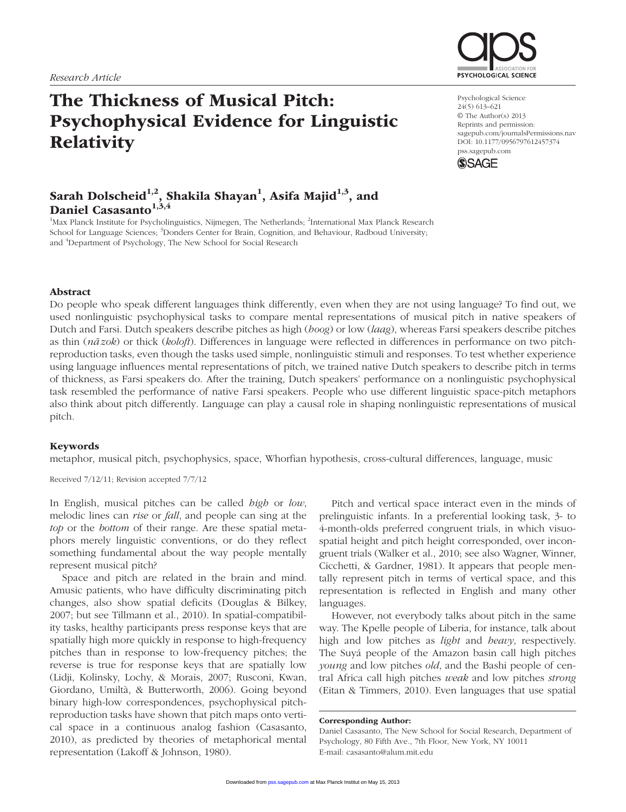# The Thickness of Musical Pitch: Psychophysical Evidence for Linguistic **Relativity**



Psychological Science 24(5) 613–621 © The Author(s) 2013 Reprints and permission: sagepub.com/journalsPermissions.nav DOI: 10.1177/0956797612457374 pss.sagepub.com



# Sarah Dolscheid<sup>1,2</sup>, Shakila Shayan<sup>1</sup>, Asifa Majid<sup>1,3</sup>, and Daniel Casasanto $^{1,3,4}$

<sup>1</sup>Max Planck Institute for Psycholinguistics, Nijmegen, The Netherlands; <sup>2</sup>International Max Planck Research School for Language Sciences; <sup>3</sup>Donders Center for Brain, Cognition, and Behaviour, Radboud University; and <sup>4</sup>Department of Psychology, The New School for Social Research

#### Abstract

Do people who speak different languages think differently, even when they are not using language? To find out, we used nonlinguistic psychophysical tasks to compare mental representations of musical pitch in native speakers of Dutch and Farsi. Dutch speakers describe pitches as high (*hoog*) or low (*laag*), whereas Farsi speakers describe pitches as thin (*na-zok*) or thick (*koloft*). Differences in language were reflected in differences in performance on two pitchreproduction tasks, even though the tasks used simple, nonlinguistic stimuli and responses. To test whether experience using language influences mental representations of pitch, we trained native Dutch speakers to describe pitch in terms of thickness, as Farsi speakers do. After the training, Dutch speakers' performance on a nonlinguistic psychophysical task resembled the performance of native Farsi speakers. People who use different linguistic space-pitch metaphors also think about pitch differently. Language can play a causal role in shaping nonlinguistic representations of musical pitch.

#### Keywords

metaphor, musical pitch, psychophysics, space, Whorfian hypothesis, cross-cultural differences, language, music

Received 7/12/11; Revision accepted 7/7/12

In English, musical pitches can be called *high* or *low*, melodic lines can *rise* or *fall*, and people can sing at the *top* or the *bottom* of their range. Are these spatial metaphors merely linguistic conventions, or do they reflect something fundamental about the way people mentally represent musical pitch?

Space and pitch are related in the brain and mind. Amusic patients, who have difficulty discriminating pitch changes, also show spatial deficits (Douglas & Bilkey, 2007; but see Tillmann et al., 2010). In spatial-compatibility tasks, healthy participants press response keys that are spatially high more quickly in response to high-frequency pitches than in response to low-frequency pitches; the reverse is true for response keys that are spatially low (Lidji, Kolinsky, Lochy, & Morais, 2007; Rusconi, Kwan, Giordano, Umiltà, & Butterworth, 2006). Going beyond binary high-low correspondences, psychophysical pitchreproduction tasks have shown that pitch maps onto vertical space in a continuous analog fashion (Casasanto, 2010), as predicted by theories of metaphorical mental representation (Lakoff & Johnson, 1980).

Pitch and vertical space interact even in the minds of prelinguistic infants. In a preferential looking task, 3- to 4-month-olds preferred congruent trials, in which visuospatial height and pitch height corresponded, over incongruent trials (Walker et al., 2010; see also Wagner, Winner, Cicchetti, & Gardner, 1981). It appears that people mentally represent pitch in terms of vertical space, and this representation is reflected in English and many other languages.

However, not everybody talks about pitch in the same way. The Kpelle people of Liberia, for instance, talk about high and low pitches as *light* and *heavy*, respectively. The Suyá people of the Amazon basin call high pitches *young* and low pitches *old*, and the Bashi people of central Africa call high pitches *weak* and low pitches *strong* (Eitan & Timmers, 2010). Even languages that use spatial

Corresponding Author:

Daniel Casasanto, The New School for Social Research, Department of Psychology, 80 Fifth Ave., 7th Floor, New York, NY 10011 E-mail: casasanto@alum.mit.edu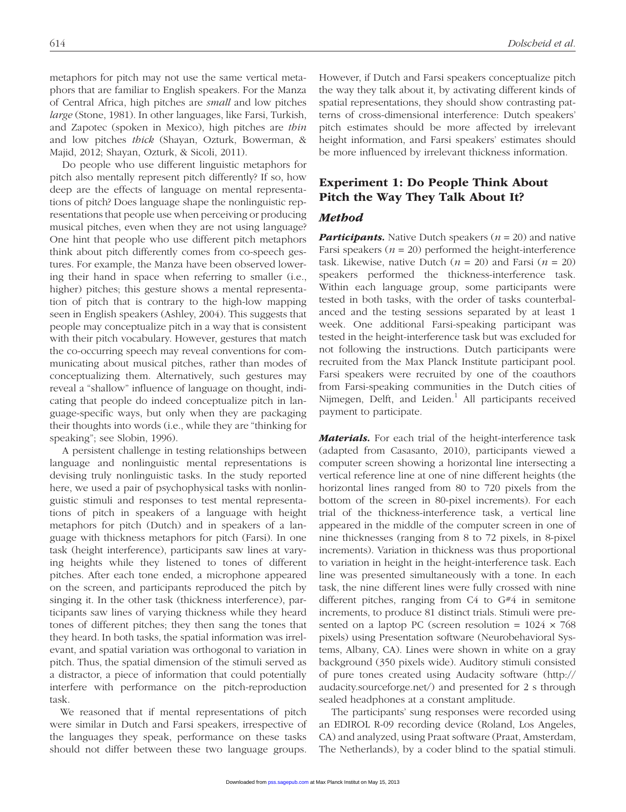metaphors for pitch may not use the same vertical metaphors that are familiar to English speakers. For the Manza of Central Africa, high pitches are *small* and low pitches *large* (Stone, 1981). In other languages, like Farsi, Turkish, and Zapotec (spoken in Mexico), high pitches are *thin* and low pitches *thick* (Shayan, Ozturk, Bowerman, & Majid, 2012; Shayan, Ozturk, & Sicoli, 2011).

Do people who use different linguistic metaphors for pitch also mentally represent pitch differently? If so, how deep are the effects of language on mental representations of pitch? Does language shape the nonlinguistic representations that people use when perceiving or producing musical pitches, even when they are not using language? One hint that people who use different pitch metaphors think about pitch differently comes from co-speech gestures. For example, the Manza have been observed lowering their hand in space when referring to smaller (i.e., higher) pitches; this gesture shows a mental representation of pitch that is contrary to the high-low mapping seen in English speakers (Ashley, 2004). This suggests that people may conceptualize pitch in a way that is consistent with their pitch vocabulary. However, gestures that match the co-occurring speech may reveal conventions for communicating about musical pitches, rather than modes of conceptualizing them. Alternatively, such gestures may reveal a "shallow" influence of language on thought, indicating that people do indeed conceptualize pitch in language-specific ways, but only when they are packaging their thoughts into words (i.e., while they are "thinking for speaking"; see Slobin, 1996).

A persistent challenge in testing relationships between language and nonlinguistic mental representations is devising truly nonlinguistic tasks. In the study reported here, we used a pair of psychophysical tasks with nonlinguistic stimuli and responses to test mental representations of pitch in speakers of a language with height metaphors for pitch (Dutch) and in speakers of a language with thickness metaphors for pitch (Farsi). In one task (height interference), participants saw lines at varying heights while they listened to tones of different pitches. After each tone ended, a microphone appeared on the screen, and participants reproduced the pitch by singing it. In the other task (thickness interference), participants saw lines of varying thickness while they heard tones of different pitches; they then sang the tones that they heard. In both tasks, the spatial information was irrelevant, and spatial variation was orthogonal to variation in pitch. Thus, the spatial dimension of the stimuli served as a distractor, a piece of information that could potentially interfere with performance on the pitch-reproduction task.

We reasoned that if mental representations of pitch were similar in Dutch and Farsi speakers, irrespective of the languages they speak, performance on these tasks should not differ between these two language groups.

However, if Dutch and Farsi speakers conceptualize pitch the way they talk about it, by activating different kinds of spatial representations, they should show contrasting patterns of cross-dimensional interference: Dutch speakers' pitch estimates should be more affected by irrelevant height information, and Farsi speakers' estimates should be more influenced by irrelevant thickness information.

# Experiment 1: Do People Think About Pitch the Way They Talk About It?

## *Method*

*Participants.* Native Dutch speakers (*n* = 20) and native Farsi speakers  $(n = 20)$  performed the height-interference task. Likewise, native Dutch (*n* = 20) and Farsi (*n* = 20) speakers performed the thickness-interference task. Within each language group, some participants were tested in both tasks, with the order of tasks counterbalanced and the testing sessions separated by at least 1 week. One additional Farsi-speaking participant was tested in the height-interference task but was excluded for not following the instructions. Dutch participants were recruited from the Max Planck Institute participant pool. Farsi speakers were recruited by one of the coauthors from Farsi-speaking communities in the Dutch cities of Nijmegen, Delft, and Leiden.<sup>1</sup> All participants received payment to participate.

*Materials.* For each trial of the height-interference task (adapted from Casasanto, 2010), participants viewed a computer screen showing a horizontal line intersecting a vertical reference line at one of nine different heights (the horizontal lines ranged from 80 to 720 pixels from the bottom of the screen in 80-pixel increments). For each trial of the thickness-interference task, a vertical line appeared in the middle of the computer screen in one of nine thicknesses (ranging from 8 to 72 pixels, in 8-pixel increments). Variation in thickness was thus proportional to variation in height in the height-interference task. Each line was presented simultaneously with a tone. In each task, the nine different lines were fully crossed with nine different pitches, ranging from C4 to G#4 in semitone increments, to produce 81 distinct trials. Stimuli were presented on a laptop PC (screen resolution =  $1024 \times 768$ ) pixels) using Presentation software (Neurobehavioral Systems, Albany, CA). Lines were shown in white on a gray background (350 pixels wide). Auditory stimuli consisted of pure tones created using Audacity software (http:// audacity.sourceforge.net/) and presented for 2 s through sealed headphones at a constant amplitude.

The participants' sung responses were recorded using an EDIROL R-09 recording device (Roland, Los Angeles, CA) and analyzed, using Praat software (Praat, Amsterdam, The Netherlands), by a coder blind to the spatial stimuli.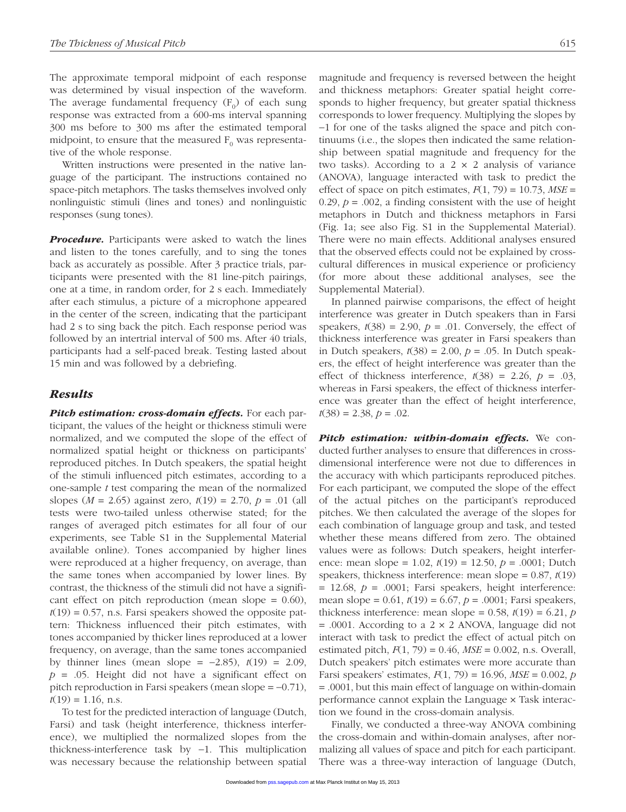The approximate temporal midpoint of each response was determined by visual inspection of the waveform. The average fundamental frequency  $(F_0)$  of each sung response was extracted from a 600-ms interval spanning 300 ms before to 300 ms after the estimated temporal midpoint, to ensure that the measured  $F_0$  was representative of the whole response.

Written instructions were presented in the native language of the participant. The instructions contained no space-pitch metaphors. The tasks themselves involved only nonlinguistic stimuli (lines and tones) and nonlinguistic responses (sung tones).

*Procedure.* Participants were asked to watch the lines and listen to the tones carefully, and to sing the tones back as accurately as possible. After 3 practice trials, participants were presented with the 81 line-pitch pairings, one at a time, in random order, for 2 s each. Immediately after each stimulus, a picture of a microphone appeared in the center of the screen, indicating that the participant had 2 s to sing back the pitch. Each response period was followed by an intertrial interval of 500 ms. After 40 trials, participants had a self-paced break. Testing lasted about 15 min and was followed by a debriefing.

#### *Results*

*Pitch estimation: cross-domain effects.* For each participant, the values of the height or thickness stimuli were normalized, and we computed the slope of the effect of normalized spatial height or thickness on participants' reproduced pitches. In Dutch speakers, the spatial height of the stimuli influenced pitch estimates, according to a one-sample *t* test comparing the mean of the normalized slopes (*M* = 2.65) against zero, *t*(19) = 2.70, *p* = .01 (all tests were two-tailed unless otherwise stated; for the ranges of averaged pitch estimates for all four of our experiments, see Table S1 in the Supplemental Material available online). Tones accompanied by higher lines were reproduced at a higher frequency, on average, than the same tones when accompanied by lower lines. By contrast, the thickness of the stimuli did not have a significant effect on pitch reproduction (mean slope  $= 0.60$ ),  $t(19) = 0.57$ , n.s. Farsi speakers showed the opposite pattern: Thickness influenced their pitch estimates, with tones accompanied by thicker lines reproduced at a lower frequency, on average, than the same tones accompanied by thinner lines (mean slope = −2.85), *t*(19) = 2.09, *p* = .05. Height did not have a significant effect on pitch reproduction in Farsi speakers (mean slope = −0.71),  $t(19) = 1.16$ , n.s.

To test for the predicted interaction of language (Dutch, Farsi) and task (height interference, thickness interference), we multiplied the normalized slopes from the thickness-interference task by −1. This multiplication was necessary because the relationship between spatial magnitude and frequency is reversed between the height and thickness metaphors: Greater spatial height corresponds to higher frequency, but greater spatial thickness corresponds to lower frequency. Multiplying the slopes by −1 for one of the tasks aligned the space and pitch continuums (i.e., the slopes then indicated the same relationship between spatial magnitude and frequency for the two tasks). According to a  $2 \times 2$  analysis of variance (ANOVA), language interacted with task to predict the effect of space on pitch estimates,  $F(1, 79) = 10.73$ ,  $MSE =$ 0.29,  $p = 0.002$ , a finding consistent with the use of height metaphors in Dutch and thickness metaphors in Farsi (Fig. 1a; see also Fig. S1 in the Supplemental Material). There were no main effects. Additional analyses ensured that the observed effects could not be explained by crosscultural differences in musical experience or proficiency (for more about these additional analyses, see the Supplemental Material).

In planned pairwise comparisons, the effect of height interference was greater in Dutch speakers than in Farsi speakers,  $t(38) = 2.90$ ,  $p = .01$ . Conversely, the effect of thickness interference was greater in Farsi speakers than in Dutch speakers,  $t(38) = 2.00$ ,  $p = .05$ . In Dutch speakers, the effect of height interference was greater than the effect of thickness interference,  $t(38) = 2.26$ ,  $p = .03$ , whereas in Farsi speakers, the effect of thickness interference was greater than the effect of height interference,  $t(38) = 2.38, p = .02.$ 

*Pitch estimation: within-domain effects.* We conducted further analyses to ensure that differences in crossdimensional interference were not due to differences in the accuracy with which participants reproduced pitches. For each participant, we computed the slope of the effect of the actual pitches on the participant's reproduced pitches. We then calculated the average of the slopes for each combination of language group and task, and tested whether these means differed from zero. The obtained values were as follows: Dutch speakers, height interference: mean slope = 1.02, *t*(19) = 12.50, *p* = .0001; Dutch speakers, thickness interference: mean slope = 0.87, *t*(19) = 12.68, *p* = .0001; Farsi speakers, height interference: mean slope = 0.61, *t*(19) = 6.67, *p* = .0001; Farsi speakers, thickness interference: mean slope =  $0.58$ ,  $t(19) = 6.21$ , *p*  $= .0001$ . According to a 2  $\times$  2 ANOVA, language did not interact with task to predict the effect of actual pitch on estimated pitch, *F*(1, 79) = 0.46, *MSE* = 0.002, n.s. Overall, Dutch speakers' pitch estimates were more accurate than Farsi speakers' estimates, *F*(1, 79) = 16.96, *MSE* = 0.002, *p* = .0001, but this main effect of language on within-domain performance cannot explain the Language × Task interaction we found in the cross-domain analysis.

Finally, we conducted a three-way ANOVA combining the cross-domain and within-domain analyses, after normalizing all values of space and pitch for each participant. There was a three-way interaction of language (Dutch,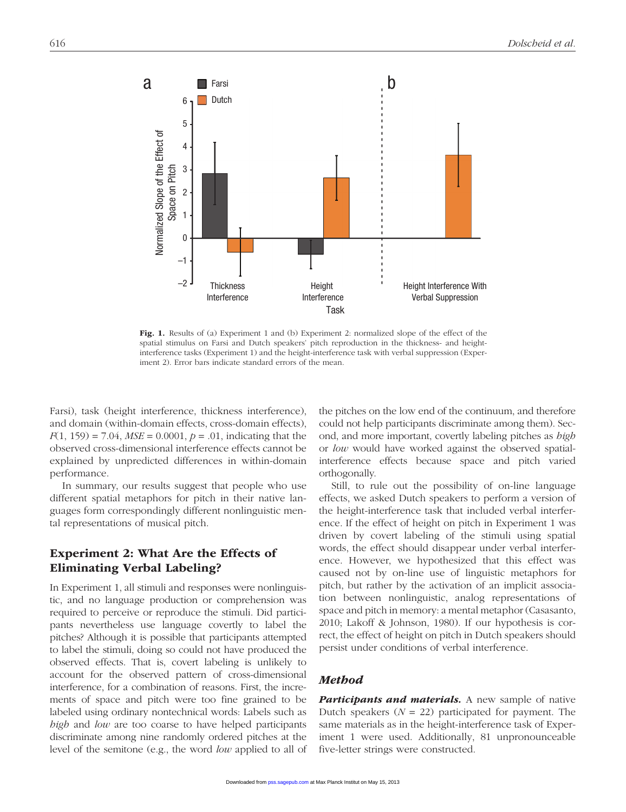

Fig. 1. Results of (a) Experiment 1 and (b) Experiment 2: normalized slope of the effect of the spatial stimulus on Farsi and Dutch speakers' pitch reproduction in the thickness- and heightinterference tasks (Experiment 1) and the height-interference task with verbal suppression (Experiment 2). Error bars indicate standard errors of the mean.

Farsi), task (height interference, thickness interference), and domain (within-domain effects, cross-domain effects), *F*(1, 159) = 7.04, *MSE* = 0.0001, *p* = .01, indicating that the observed cross-dimensional interference effects cannot be explained by unpredicted differences in within-domain performance.

In summary, our results suggest that people who use different spatial metaphors for pitch in their native languages form correspondingly different nonlinguistic mental representations of musical pitch.

# Experiment 2: What Are the Effects of Eliminating Verbal Labeling?

In Experiment 1, all stimuli and responses were nonlinguistic, and no language production or comprehension was required to perceive or reproduce the stimuli. Did participants nevertheless use language covertly to label the pitches? Although it is possible that participants attempted to label the stimuli, doing so could not have produced the observed effects. That is, covert labeling is unlikely to account for the observed pattern of cross-dimensional interference, for a combination of reasons. First, the increments of space and pitch were too fine grained to be labeled using ordinary nontechnical words: Labels such as *high* and *low* are too coarse to have helped participants discriminate among nine randomly ordered pitches at the level of the semitone (e.g., the word *low* applied to all of

the pitches on the low end of the continuum, and therefore could not help participants discriminate among them). Second, and more important, covertly labeling pitches as *high* or *low* would have worked against the observed spatialinterference effects because space and pitch varied orthogonally.

Still, to rule out the possibility of on-line language effects, we asked Dutch speakers to perform a version of the height-interference task that included verbal interference. If the effect of height on pitch in Experiment 1 was driven by covert labeling of the stimuli using spatial words, the effect should disappear under verbal interference. However, we hypothesized that this effect was caused not by on-line use of linguistic metaphors for pitch, but rather by the activation of an implicit association between nonlinguistic, analog representations of space and pitch in memory: a mental metaphor (Casasanto, 2010; Lakoff & Johnson, 1980). If our hypothesis is correct, the effect of height on pitch in Dutch speakers should persist under conditions of verbal interference.

#### *Method*

*Participants and materials.* A new sample of native Dutch speakers  $(N = 22)$  participated for payment. The same materials as in the height-interference task of Experiment 1 were used. Additionally, 81 unpronounceable five-letter strings were constructed.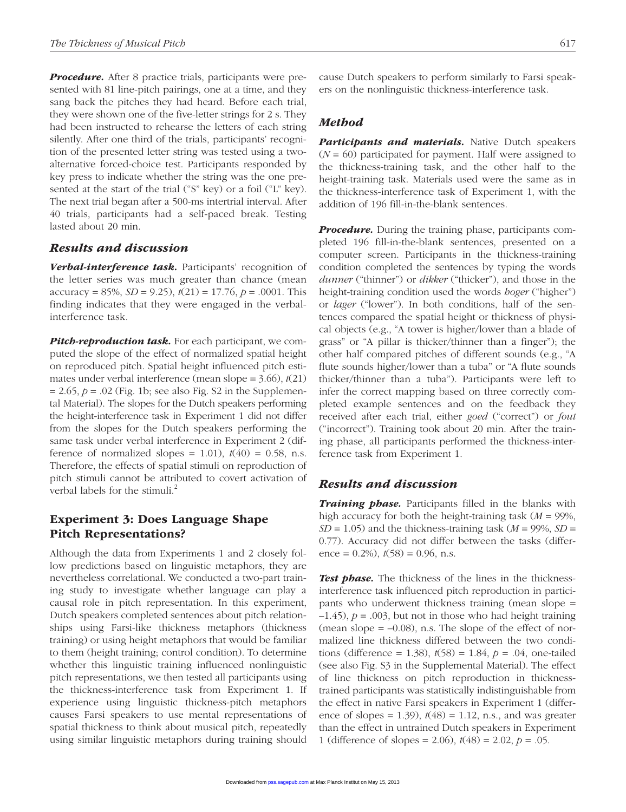**Procedure.** After 8 practice trials, participants were presented with 81 line-pitch pairings, one at a time, and they sang back the pitches they had heard. Before each trial, they were shown one of the five-letter strings for 2 s. They had been instructed to rehearse the letters of each string silently. After one third of the trials, participants' recognition of the presented letter string was tested using a twoalternative forced-choice test. Participants responded by key press to indicate whether the string was the one presented at the start of the trial ("S" key) or a foil ("L" key). The next trial began after a 500-ms intertrial interval. After 40 trials, participants had a self-paced break. Testing lasted about 20 min.

#### *Results and discussion*

*Verbal-interference task.* Participants' recognition of the letter series was much greater than chance (mean accuracy = 85%, *SD* = 9.25), *t*(21) = 17.76, *p* = .0001. This finding indicates that they were engaged in the verbalinterference task.

**Pitch-reproduction task.** For each participant, we computed the slope of the effect of normalized spatial height on reproduced pitch. Spatial height influenced pitch estimates under verbal interference (mean slope = 3.66), *t*(21)  $= 2.65, p = .02$  (Fig. 1b; see also Fig. S2 in the Supplemental Material). The slopes for the Dutch speakers performing the height-interference task in Experiment 1 did not differ from the slopes for the Dutch speakers performing the same task under verbal interference in Experiment 2 (difference of normalized slopes =  $1.01$ ),  $t(40) = 0.58$ , n.s. Therefore, the effects of spatial stimuli on reproduction of pitch stimuli cannot be attributed to covert activation of verbal labels for the stimuli.<sup>2</sup>

# Experiment 3: Does Language Shape Pitch Representations?

Although the data from Experiments 1 and 2 closely follow predictions based on linguistic metaphors, they are nevertheless correlational. We conducted a two-part training study to investigate whether language can play a causal role in pitch representation. In this experiment, Dutch speakers completed sentences about pitch relationships using Farsi-like thickness metaphors (thickness training) or using height metaphors that would be familiar to them (height training; control condition). To determine whether this linguistic training influenced nonlinguistic pitch representations, we then tested all participants using the thickness-interference task from Experiment 1. If experience using linguistic thickness-pitch metaphors causes Farsi speakers to use mental representations of spatial thickness to think about musical pitch, repeatedly using similar linguistic metaphors during training should

cause Dutch speakers to perform similarly to Farsi speakers on the nonlinguistic thickness-interference task.

#### *Method*

**Participants and materials.** Native Dutch speakers (*N* = 60) participated for payment. Half were assigned to the thickness-training task, and the other half to the height-training task. Materials used were the same as in the thickness-interference task of Experiment 1, with the addition of 196 fill-in-the-blank sentences.

**Procedure.** During the training phase, participants completed 196 fill-in-the-blank sentences, presented on a computer screen. Participants in the thickness-training condition completed the sentences by typing the words *dunner* ("thinner") or *dikker* ("thicker"), and those in the height-training condition used the words *hoger* ("higher") or *lager* ("lower"). In both conditions, half of the sentences compared the spatial height or thickness of physical objects (e.g., "A tower is higher/lower than a blade of grass" or "A pillar is thicker/thinner than a finger"); the other half compared pitches of different sounds (e.g., "A flute sounds higher/lower than a tuba" or "A flute sounds thicker/thinner than a tuba"). Participants were left to infer the correct mapping based on three correctly completed example sentences and on the feedback they received after each trial, either *goed* ("correct") or *fout* ("incorrect"). Training took about 20 min. After the training phase, all participants performed the thickness-interference task from Experiment 1.

#### *Results and discussion*

*Training phase.* Participants filled in the blanks with high accuracy for both the height-training task (*M* = 99%,  $SD = 1.05$ ) and the thickness-training task ( $M = 99\%$ ,  $SD =$ 0.77). Accuracy did not differ between the tasks (difference =  $0.2\%$ ),  $t(58) = 0.96$ , n.s.

**Test phase.** The thickness of the lines in the thicknessinterference task influenced pitch reproduction in participants who underwent thickness training (mean slope =  $(-1.45)$ ,  $p = .003$ , but not in those who had height training (mean slope  $= -0.08$ ), n.s. The slope of the effect of normalized line thickness differed between the two conditions (difference = 1.38),  $t(58) = 1.84$ ,  $p = .04$ , one-tailed (see also Fig. S3 in the Supplemental Material). The effect of line thickness on pitch reproduction in thicknesstrained participants was statistically indistinguishable from the effect in native Farsi speakers in Experiment 1 (difference of slopes = 1.39),  $t(48) = 1.12$ , n.s., and was greater than the effect in untrained Dutch speakers in Experiment 1 (difference of slopes = 2.06), *t*(48) = 2.02, *p* = .05.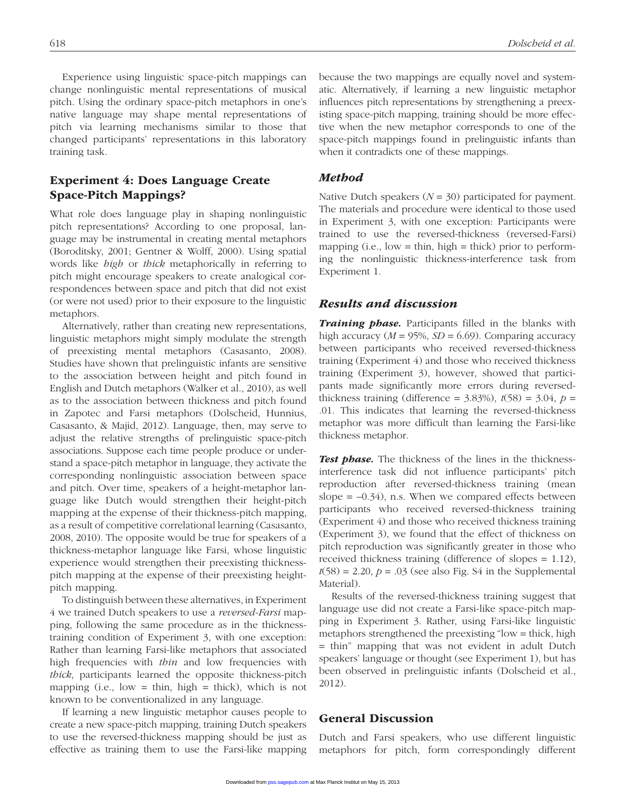Experience using linguistic space-pitch mappings can change nonlinguistic mental representations of musical pitch. Using the ordinary space-pitch metaphors in one's native language may shape mental representations of pitch via learning mechanisms similar to those that changed participants' representations in this laboratory training task.

# Experiment 4: Does Language Create Space-Pitch Mappings?

What role does language play in shaping nonlinguistic pitch representations? According to one proposal, language may be instrumental in creating mental metaphors (Boroditsky, 2001; Gentner & Wolff, 2000). Using spatial words like *high* or *thick* metaphorically in referring to pitch might encourage speakers to create analogical correspondences between space and pitch that did not exist (or were not used) prior to their exposure to the linguistic metaphors.

Alternatively, rather than creating new representations, linguistic metaphors might simply modulate the strength of preexisting mental metaphors (Casasanto, 2008). Studies have shown that prelinguistic infants are sensitive to the association between height and pitch found in English and Dutch metaphors (Walker et al., 2010), as well as to the association between thickness and pitch found in Zapotec and Farsi metaphors (Dolscheid, Hunnius, Casasanto, & Majid, 2012). Language, then, may serve to adjust the relative strengths of prelinguistic space-pitch associations. Suppose each time people produce or understand a space-pitch metaphor in language, they activate the corresponding nonlinguistic association between space and pitch. Over time, speakers of a height-metaphor language like Dutch would strengthen their height-pitch mapping at the expense of their thickness-pitch mapping, as a result of competitive correlational learning (Casasanto, 2008, 2010). The opposite would be true for speakers of a thickness-metaphor language like Farsi, whose linguistic experience would strengthen their preexisting thicknesspitch mapping at the expense of their preexisting heightpitch mapping.

To distinguish between these alternatives, in Experiment 4 we trained Dutch speakers to use a *reversed-Farsi* mapping, following the same procedure as in the thicknesstraining condition of Experiment 3, with one exception: Rather than learning Farsi-like metaphors that associated high frequencies with *thin* and low frequencies with *thick*, participants learned the opposite thickness-pitch mapping (i.e., low = thin, high = thick), which is not known to be conventionalized in any language.

If learning a new linguistic metaphor causes people to create a new space-pitch mapping, training Dutch speakers to use the reversed-thickness mapping should be just as effective as training them to use the Farsi-like mapping because the two mappings are equally novel and systematic. Alternatively, if learning a new linguistic metaphor influences pitch representations by strengthening a preexisting space-pitch mapping, training should be more effective when the new metaphor corresponds to one of the space-pitch mappings found in prelinguistic infants than when it contradicts one of these mappings.

## *Method*

Native Dutch speakers  $(N = 30)$  participated for payment. The materials and procedure were identical to those used in Experiment 3, with one exception: Participants were trained to use the reversed-thickness (reversed-Farsi) mapping (i.e.,  $low = thin$ ,  $high = thick$ ) prior to performing the nonlinguistic thickness-interference task from Experiment 1.

#### *Results and discussion*

*Training phase.* Participants filled in the blanks with high accuracy  $(M = 95\%, SD = 6.69)$ . Comparing accuracy between participants who received reversed-thickness training (Experiment 4) and those who received thickness training (Experiment 3), however, showed that participants made significantly more errors during reversedthickness training (difference =  $3.83\%$ ),  $t(58) = 3.04$ ,  $p =$ .01. This indicates that learning the reversed-thickness metaphor was more difficult than learning the Farsi-like thickness metaphor.

**Test phase.** The thickness of the lines in the thicknessinterference task did not influence participants' pitch reproduction after reversed-thickness training (mean slope  $= -0.34$ ), n.s. When we compared effects between participants who received reversed-thickness training (Experiment 4) and those who received thickness training (Experiment 3), we found that the effect of thickness on pitch reproduction was significantly greater in those who received thickness training (difference of slopes = 1.12),  $t(58) = 2.20, p = .03$  (see also Fig. S4 in the Supplemental Material).

Results of the reversed-thickness training suggest that language use did not create a Farsi-like space-pitch mapping in Experiment 3. Rather, using Farsi-like linguistic metaphors strengthened the preexisting "low = thick, high = thin" mapping that was not evident in adult Dutch speakers' language or thought (see Experiment 1), but has been observed in prelinguistic infants (Dolscheid et al., 2012).

## General Discussion

Dutch and Farsi speakers, who use different linguistic metaphors for pitch, form correspondingly different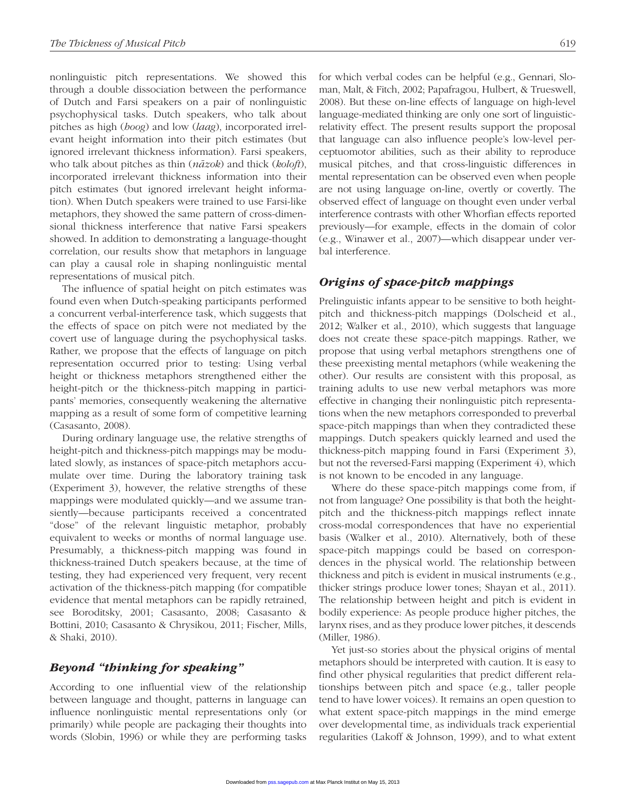nonlinguistic pitch representations. We showed this through a double dissociation between the performance of Dutch and Farsi speakers on a pair of nonlinguistic psychophysical tasks. Dutch speakers, who talk about pitches as high (*hoog*) and low (*laag*), incorporated irrelevant height information into their pitch estimates (but ignored irrelevant thickness information). Farsi speakers, who talk about pitches as thin (*na-zok*) and thick (*koloft*), incorporated irrelevant thickness information into their pitch estimates (but ignored irrelevant height information). When Dutch speakers were trained to use Farsi-like metaphors, they showed the same pattern of cross-dimensional thickness interference that native Farsi speakers showed. In addition to demonstrating a language-thought correlation, our results show that metaphors in language can play a causal role in shaping nonlinguistic mental representations of musical pitch.

The influence of spatial height on pitch estimates was found even when Dutch-speaking participants performed a concurrent verbal-interference task, which suggests that the effects of space on pitch were not mediated by the covert use of language during the psychophysical tasks. Rather, we propose that the effects of language on pitch representation occurred prior to testing: Using verbal height or thickness metaphors strengthened either the height-pitch or the thickness-pitch mapping in participants' memories, consequently weakening the alternative mapping as a result of some form of competitive learning (Casasanto, 2008).

During ordinary language use, the relative strengths of height-pitch and thickness-pitch mappings may be modulated slowly, as instances of space-pitch metaphors accumulate over time. During the laboratory training task (Experiment 3), however, the relative strengths of these mappings were modulated quickly—and we assume transiently—because participants received a concentrated "dose" of the relevant linguistic metaphor, probably equivalent to weeks or months of normal language use. Presumably, a thickness-pitch mapping was found in thickness-trained Dutch speakers because, at the time of testing, they had experienced very frequent, very recent activation of the thickness-pitch mapping (for compatible evidence that mental metaphors can be rapidly retrained, see Boroditsky, 2001; Casasanto, 2008; Casasanto & Bottini, 2010; Casasanto & Chrysikou, 2011; Fischer, Mills, & Shaki, 2010).

# *Beyond "thinking for speaking"*

According to one influential view of the relationship between language and thought, patterns in language can influence nonlinguistic mental representations only (or primarily) while people are packaging their thoughts into words (Slobin, 1996) or while they are performing tasks for which verbal codes can be helpful (e.g., Gennari, Sloman, Malt, & Fitch, 2002; Papafragou, Hulbert, & Trueswell, 2008). But these on-line effects of language on high-level language-mediated thinking are only one sort of linguisticrelativity effect. The present results support the proposal that language can also influence people's low-level perceptuomotor abilities, such as their ability to reproduce musical pitches, and that cross-linguistic differences in mental representation can be observed even when people are not using language on-line, overtly or covertly. The observed effect of language on thought even under verbal interference contrasts with other Whorfian effects reported previously—for example, effects in the domain of color (e.g., Winawer et al., 2007)—which disappear under verbal interference.

## *Origins of space-pitch mappings*

Prelinguistic infants appear to be sensitive to both heightpitch and thickness-pitch mappings (Dolscheid et al., 2012; Walker et al., 2010), which suggests that language does not create these space-pitch mappings. Rather, we propose that using verbal metaphors strengthens one of these preexisting mental metaphors (while weakening the other). Our results are consistent with this proposal, as training adults to use new verbal metaphors was more effective in changing their nonlinguistic pitch representations when the new metaphors corresponded to preverbal space-pitch mappings than when they contradicted these mappings. Dutch speakers quickly learned and used the thickness-pitch mapping found in Farsi (Experiment 3), but not the reversed-Farsi mapping (Experiment 4), which is not known to be encoded in any language.

Where do these space-pitch mappings come from, if not from language? One possibility is that both the heightpitch and the thickness-pitch mappings reflect innate cross-modal correspondences that have no experiential basis (Walker et al., 2010). Alternatively, both of these space-pitch mappings could be based on correspondences in the physical world. The relationship between thickness and pitch is evident in musical instruments (e.g., thicker strings produce lower tones; Shayan et al., 2011). The relationship between height and pitch is evident in bodily experience: As people produce higher pitches, the larynx rises, and as they produce lower pitches, it descends (Miller, 1986).

Yet just-so stories about the physical origins of mental metaphors should be interpreted with caution. It is easy to find other physical regularities that predict different relationships between pitch and space (e.g., taller people tend to have lower voices). It remains an open question to what extent space-pitch mappings in the mind emerge over developmental time, as individuals track experiential regularities (Lakoff & Johnson, 1999), and to what extent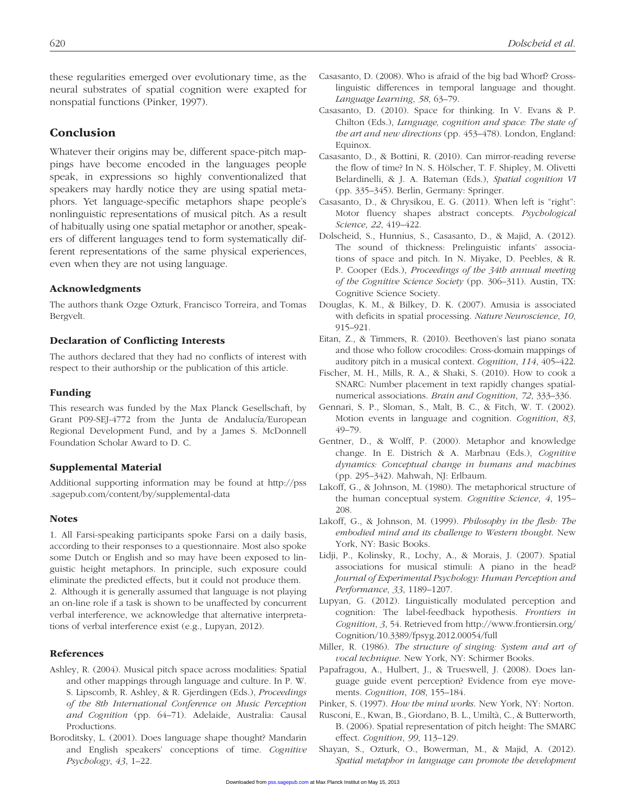these regularities emerged over evolutionary time, as the neural substrates of spatial cognition were exapted for nonspatial functions (Pinker, 1997).

## Conclusion

Whatever their origins may be, different space-pitch mappings have become encoded in the languages people speak, in expressions so highly conventionalized that speakers may hardly notice they are using spatial metaphors. Yet language-specific metaphors shape people's nonlinguistic representations of musical pitch. As a result of habitually using one spatial metaphor or another, speakers of different languages tend to form systematically different representations of the same physical experiences, even when they are not using language.

#### Acknowledgments

The authors thank Ozge Ozturk, Francisco Torreira, and Tomas Bergvelt.

#### Declaration of Conflicting Interests

The authors declared that they had no conflicts of interest with respect to their authorship or the publication of this article.

#### Funding

This research was funded by the Max Planck Gesellschaft, by Grant P09-SEJ-4772 from the Junta de Andalucía/European Regional Development Fund, and by a James S. McDonnell Foundation Scholar Award to D. C.

#### Supplemental Material

Additional supporting information may be found at http://pss .sagepub.com/content/by/supplemental-data

#### **Notes**

1. All Farsi-speaking participants spoke Farsi on a daily basis, according to their responses to a questionnaire. Most also spoke some Dutch or English and so may have been exposed to linguistic height metaphors. In principle, such exposure could eliminate the predicted effects, but it could not produce them. 2. Although it is generally assumed that language is not playing an on-line role if a task is shown to be unaffected by concurrent verbal interference, we acknowledge that alternative interpretations of verbal interference exist (e.g., Lupyan, 2012).

#### References

- Ashley, R. (2004). Musical pitch space across modalities: Spatial and other mappings through language and culture. In P. W. S. Lipscomb, R. Ashley, & R. Gjerdingen (Eds.), *Proceedings of the 8th International Conference on Music Perception and Cognition* (pp. 64–71). Adelaide, Australia: Causal Productions.
- Boroditsky, L. (2001). Does language shape thought? Mandarin and English speakers' conceptions of time. *Cognitive Psychology*, *43*, 1–22.
- Casasanto, D. (2008). Who is afraid of the big bad Whorf? Crosslinguistic differences in temporal language and thought. *Language Learning*, *58*, 63–79.
- Casasanto, D. (2010). Space for thinking. In V. Evans & P. Chilton (Eds.), *Language, cognition and space: The state of the art and new directions* (pp. 453–478). London, England: Equinox.
- Casasanto, D., & Bottini, R. (2010). Can mirror-reading reverse the flow of time? In N. S. Hölscher, T. F. Shipley, M. Olivetti Belardinelli, & J. A. Bateman (Eds.), *Spatial cognition VI* (pp. 335–345). Berlin, Germany: Springer.
- Casasanto, D., & Chrysikou, E. G. (2011). When left is "right": Motor fluency shapes abstract concepts. *Psychological Science*, *22*, 419–422.
- Dolscheid, S., Hunnius, S., Casasanto, D., & Majid, A. (2012). The sound of thickness: Prelinguistic infants' associations of space and pitch. In N. Miyake, D. Peebles, & R. P. Cooper (Eds.), *Proceedings of the 34th annual meeting of the Cognitive Science Society* (pp. 306–311). Austin, TX: Cognitive Science Society.
- Douglas, K. M., & Bilkey, D. K. (2007). Amusia is associated with deficits in spatial processing. *Nature Neuroscience*, *10*, 915–921.
- Eitan, Z., & Timmers, R. (2010). Beethoven's last piano sonata and those who follow crocodiles: Cross-domain mappings of auditory pitch in a musical context. *Cognition*, *114*, 405–422.
- Fischer, M. H., Mills, R. A., & Shaki, S. (2010). How to cook a SNARC: Number placement in text rapidly changes spatialnumerical associations. *Brain and Cognition*, *72*, 333–336.
- Gennari, S. P., Sloman, S., Malt, B. C., & Fitch, W. T. (2002). Motion events in language and cognition. *Cognition*, *83*, 49–79.
- Gentner, D., & Wolff, P. (2000). Metaphor and knowledge change. In E. Districh & A. Marbnau (Eds.), *Cognitive dynamics: Conceptual change in humans and machines* (pp. 295–342). Mahwah, NJ: Erlbaum.
- Lakoff, G., & Johnson, M. (1980). The metaphorical structure of the human conceptual system. *Cognitive Science*, *4*, 195– 208.
- Lakoff, G., & Johnson, M. (1999). *Philosophy in the flesh: The embodied mind and its challenge to Western thought*. New York, NY: Basic Books.
- Lidji, P., Kolinsky, R., Lochy, A., & Morais, J. (2007). Spatial associations for musical stimuli: A piano in the head? *Journal of Experimental Psychology: Human Perception and Performance*, *33*, 1189–1207.
- Lupyan, G. (2012). Linguistically modulated perception and cognition: The label-feedback hypothesis. *Frontiers in Cognition*, *3*, 54. Retrieved from http://www.frontiersin.org/ Cognition/10.3389/fpsyg.2012.00054/full
- Miller, R. (1986). *The structure of singing: System and art of vocal technique*. New York, NY: Schirmer Books.
- Papafragou, A., Hulbert, J., & Trueswell, J. (2008). Does language guide event perception? Evidence from eye movements. *Cognition*, *108*, 155–184.
- Pinker, S. (1997). *How the mind works*. New York, NY: Norton.
- Rusconi, E., Kwan, B., Giordano, B. L., Umiltà, C., & Butterworth, B. (2006). Spatial representation of pitch height: The SMARC effect. *Cognition*, *99*, 113–129.
- Shayan, S., Ozturk, O., Bowerman, M., & Majid, A. (2012). *Spatial metaphor in language can promote the development*